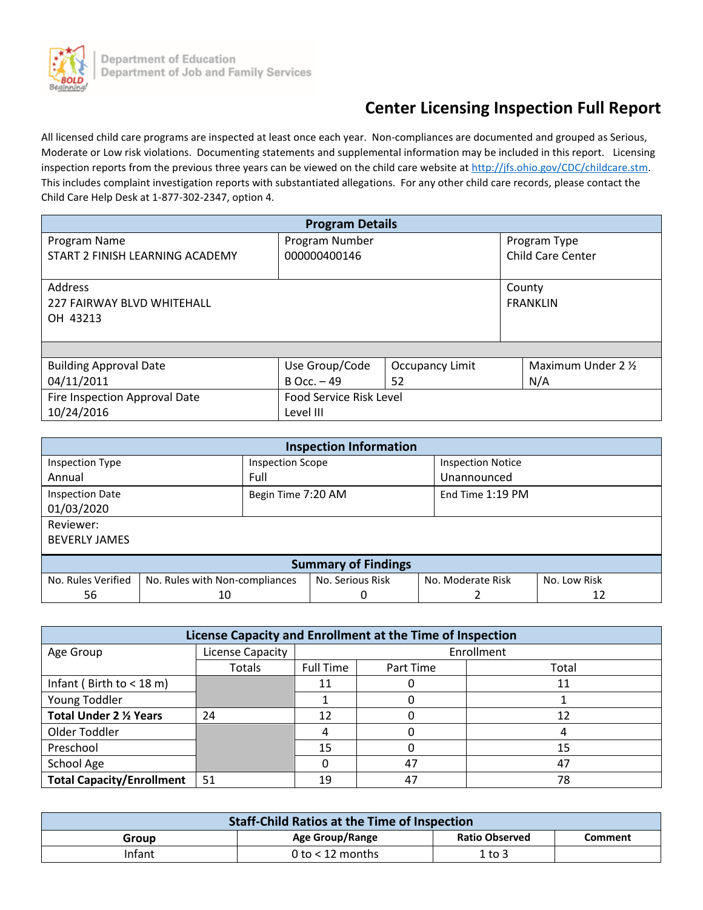

# **Center Licensing Inspection Full Report**

All licensed child care programs are inspected at least once each year. Non-compliances are documented and grouped as Serious, Moderate or Low risk violations. Documenting statements and supplemental information may be included in this report. Licensing inspection reports from the previous three years can be viewed on the child care website a[t http://jfs.ohio.gov/CDC/childcare.stm.](http://jfs.ohio.gov/CDC/childcare.stm) This includes complaint investigation reports with substantiated allegations. For any other child care records, please contact the Child Care Help Desk at 1-877-302-2347, option 4.

| <b>Program Details</b>          |                                |                        |                          |  |
|---------------------------------|--------------------------------|------------------------|--------------------------|--|
| Program Name                    | Program Number                 |                        | Program Type             |  |
| START 2 FINISH LEARNING ACADEMY | 000000400146                   |                        | <b>Child Care Center</b> |  |
|                                 |                                |                        |                          |  |
| <b>Address</b>                  |                                |                        | County                   |  |
| 227 FAIRWAY BLVD WHITEHALL      |                                |                        | <b>FRANKLIN</b>          |  |
| OH 43213                        |                                |                        |                          |  |
|                                 |                                |                        |                          |  |
|                                 |                                |                        |                          |  |
| <b>Building Approval Date</b>   | Use Group/Code                 | <b>Occupancy Limit</b> | Maximum Under 2 1/2      |  |
| 04/11/2011                      | $B$ Occ. $-49$                 | 52                     | N/A                      |  |
| Fire Inspection Approval Date   | <b>Food Service Risk Level</b> |                        |                          |  |
| 10/24/2016                      | Level III                      |                        |                          |  |

| <b>Inspection Information</b>        |                                |                         |                  |                          |              |
|--------------------------------------|--------------------------------|-------------------------|------------------|--------------------------|--------------|
| Inspection Type                      |                                | <b>Inspection Scope</b> |                  | <b>Inspection Notice</b> |              |
| Annual                               |                                | Full                    |                  | Unannounced              |              |
| <b>Inspection Date</b><br>01/03/2020 |                                | Begin Time 7:20 AM      |                  | End Time 1:19 PM         |              |
| Reviewer:                            |                                |                         |                  |                          |              |
| <b>BEVERLY JAMES</b>                 |                                |                         |                  |                          |              |
| <b>Summary of Findings</b>           |                                |                         |                  |                          |              |
| No. Rules Verified                   | No. Rules with Non-compliances |                         | No. Serious Risk | No. Moderate Risk        | No. Low Risk |
| 56                                   | 10                             |                         | 0                |                          | 12           |

| License Capacity and Enrollment at the Time of Inspection |                  |                  |           |       |
|-----------------------------------------------------------|------------------|------------------|-----------|-------|
| Age Group                                                 | License Capacity | Enrollment       |           |       |
|                                                           | Totals           | <b>Full Time</b> | Part Time | Total |
| Infant (Birth to $<$ 18 m)                                |                  | 11               |           | 11    |
| Young Toddler                                             |                  |                  |           |       |
| <b>Total Under 2 % Years</b>                              | 24               | 12               |           | 12    |
| Older Toddler                                             |                  |                  |           |       |
| Preschool                                                 |                  | 15               |           | 15    |
| School Age                                                |                  |                  | 47        | 47    |
| <b>Total Capacity/Enrollment</b>                          | 51               | 19               | 47        | 78    |

| <b>Staff-Child Ratios at the Time of Inspection</b> |                    |                       |         |
|-----------------------------------------------------|--------------------|-----------------------|---------|
| Group                                               | Age Group/Range    | <b>Ratio Observed</b> | Comment |
| Infant                                              | 0 to $<$ 12 months | 1 to 3                |         |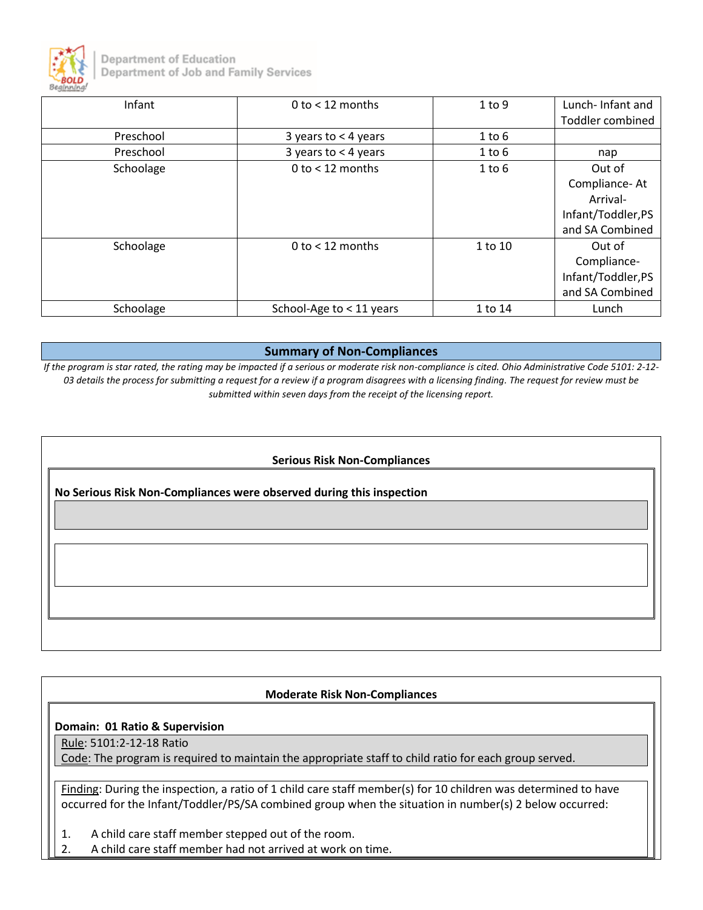

Department of Education Department of Job and Family Services

| Infant    | 0 to $<$ 12 months       | 1 to 9     | Lunch-Infant and        |
|-----------|--------------------------|------------|-------------------------|
|           |                          |            | <b>Toddler combined</b> |
| Preschool | 3 years to $<$ 4 years   | $1$ to $6$ |                         |
| Preschool | 3 years to $<$ 4 years   | $1$ to $6$ | nap                     |
| Schoolage | $0$ to $<$ 12 months     | $1$ to $6$ | Out of                  |
|           |                          |            | Compliance-At           |
|           |                          |            | Arrival-                |
|           |                          |            | Infant/Toddler,PS       |
|           |                          |            | and SA Combined         |
| Schoolage | 0 to $<$ 12 months       | 1 to 10    | Out of                  |
|           |                          |            | Compliance-             |
|           |                          |            | Infant/Toddler,PS       |
|           |                          |            | and SA Combined         |
| Schoolage | School-Age to < 11 years | 1 to 14    | Lunch                   |

#### **Summary of Non-Compliances**

*If the program is star rated, the rating may be impacted if a serious or moderate risk non-compliance is cited. Ohio Administrative Code 5101: 2-12- 03 details the process for submitting a request for a review if a program disagrees with a licensing finding. The request for review must be submitted within seven days from the receipt of the licensing report.*

#### **Serious Risk Non-Compliances**

**No Serious Risk Non-Compliances were observed during this inspection**

#### **Moderate Risk Non-Compliances**

#### **Domain: 01 Ratio & Supervision**

Rule: 5101:2-12-18 Ratio

Code: The program is required to maintain the appropriate staff to child ratio for each group served.

Finding: During the inspection, a ratio of 1 child care staff member(s) for 10 children was determined to have occurred for the Infant/Toddler/PS/SA combined group when the situation in number(s) 2 below occurred:

- 1. A child care staff member stepped out of the room.
- 2. A child care staff member had not arrived at work on time.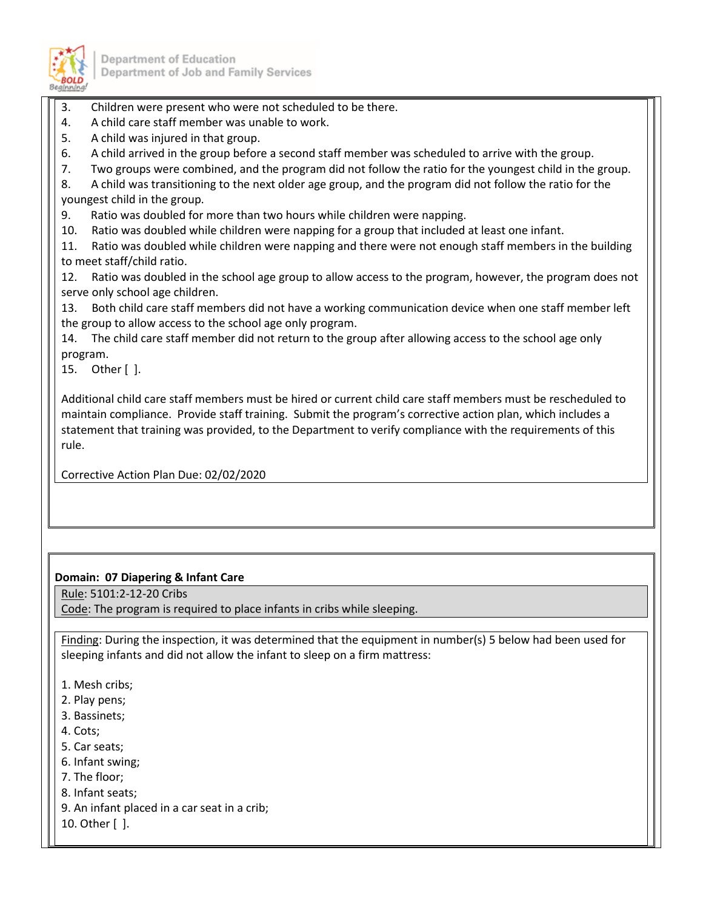

- 3. Children were present who were not scheduled to be there.
- 4. A child care staff member was unable to work.
- 5. A child was injured in that group.
- 6. A child arrived in the group before a second staff member was scheduled to arrive with the group.
- 7. Two groups were combined, and the program did not follow the ratio for the youngest child in the group.
- 8. A child was transitioning to the next older age group, and the program did not follow the ratio for the youngest child in the group.
- 9. Ratio was doubled for more than two hours while children were napping.
- 10. Ratio was doubled while children were napping for a group that included at least one infant.
- 11. Ratio was doubled while children were napping and there were not enough staff members in the building to meet staff/child ratio.
- 12. Ratio was doubled in the school age group to allow access to the program, however, the program does not serve only school age children.
- 13. Both child care staff members did not have a working communication device when one staff member left the group to allow access to the school age only program.

14. The child care staff member did not return to the group after allowing access to the school age only program.

15. Other [ ].

Additional child care staff members must be hired or current child care staff members must be rescheduled to maintain compliance. Provide staff training. Submit the program's corrective action plan, which includes a statement that training was provided, to the Department to verify compliance with the requirements of this rule.

Corrective Action Plan Due: 02/02/2020

## **Domain: 07 Diapering & Infant Care**

Rule: 5101:2-12-20 Cribs

Code: The program is required to place infants in cribs while sleeping.

Finding: During the inspection, it was determined that the equipment in number(s) 5 below had been used for sleeping infants and did not allow the infant to sleep on a firm mattress:

- 1. Mesh cribs;
- 2. Play pens;
- 3. Bassinets;
- 4. Cots;
- 5. Car seats;
- 6. Infant swing;
- 7. The floor;
- 8. Infant seats;
- 9. An infant placed in a car seat in a crib;
- 10. Other [ ].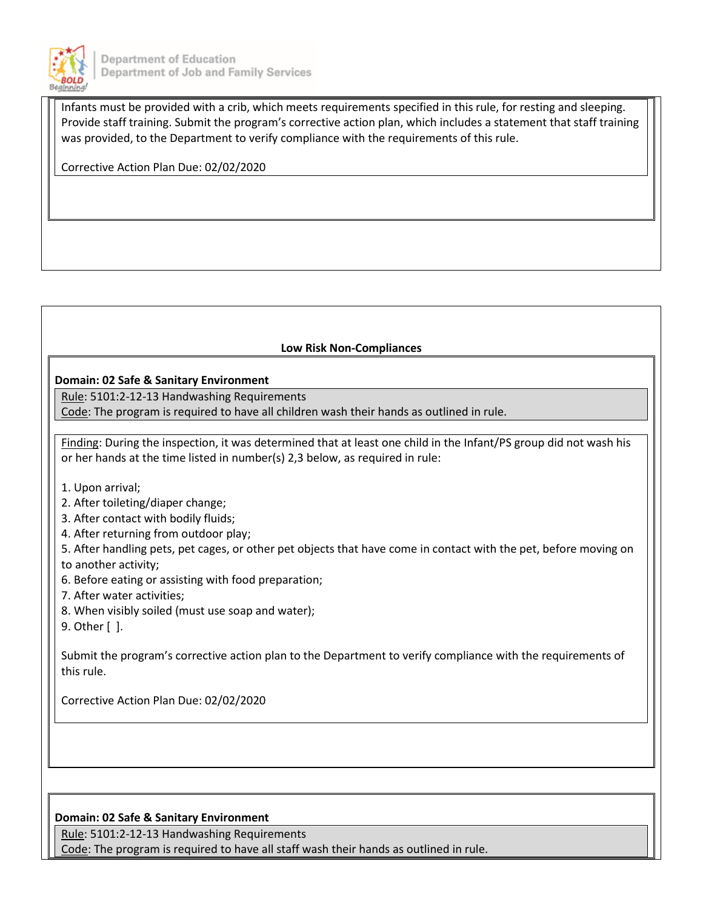

Infants must be provided with a crib, which meets requirements specified in this rule, for resting and sleeping. Provide staff training. Submit the program's corrective action plan, which includes a statement that staff training was provided, to the Department to verify compliance with the requirements of this rule.

Corrective Action Plan Due: 02/02/2020

## **Low Risk Non-Compliances**

#### **Domain: 02 Safe & Sanitary Environment**

Rule: 5101:2-12-13 Handwashing Requirements

Code: The program is required to have all children wash their hands as outlined in rule.

Finding: During the inspection, it was determined that at least one child in the Infant/PS group did not wash his or her hands at the time listed in number(s) 2,3 below, as required in rule:

- 1. Upon arrival;
- 2. After toileting/diaper change;
- 3. After contact with bodily fluids;
- 4. After returning from outdoor play;

5. After handling pets, pet cages, or other pet objects that have come in contact with the pet, before moving on to another activity;

- 6. Before eating or assisting with food preparation;
- 7. After water activities;
- 8. When visibly soiled (must use soap and water);
- 9. Other [ ].

Submit the program's corrective action plan to the Department to verify compliance with the requirements of this rule.

Corrective Action Plan Due: 02/02/2020

#### **Domain: 02 Safe & Sanitary Environment**

Rule: 5101:2-12-13 Handwashing Requirements

Code: The program is required to have all staff wash their hands as outlined in rule.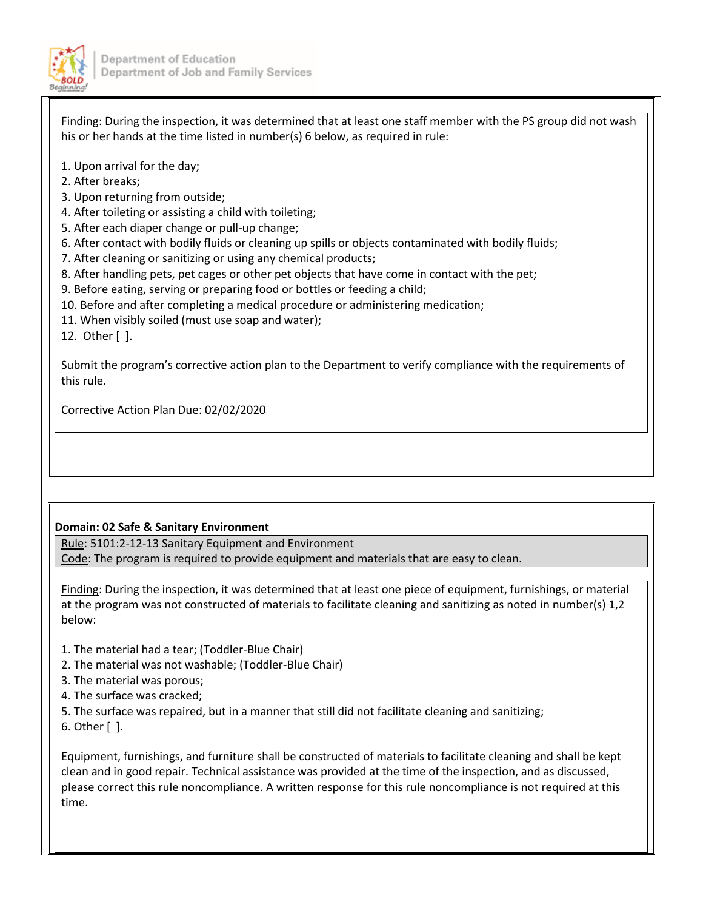

Finding: During the inspection, it was determined that at least one staff member with the PS group did not wash his or her hands at the time listed in number(s) 6 below, as required in rule:

- 1. Upon arrival for the day;
- 2. After breaks;
- 3. Upon returning from outside;
- 4. After toileting or assisting a child with toileting;
- 5. After each diaper change or pull-up change;
- 6. After contact with bodily fluids or cleaning up spills or objects contaminated with bodily fluids;
- 7. After cleaning or sanitizing or using any chemical products;
- 8. After handling pets, pet cages or other pet objects that have come in contact with the pet;
- 9. Before eating, serving or preparing food or bottles or feeding a child;
- 10. Before and after completing a medical procedure or administering medication;
- 11. When visibly soiled (must use soap and water);
- 12. Other [ ].

Submit the program's corrective action plan to the Department to verify compliance with the requirements of this rule.

Corrective Action Plan Due: 02/02/2020

## **Domain: 02 Safe & Sanitary Environment**

Rule: 5101:2-12-13 Sanitary Equipment and Environment Code: The program is required to provide equipment and materials that are easy to clean.

Finding: During the inspection, it was determined that at least one piece of equipment, furnishings, or material at the program was not constructed of materials to facilitate cleaning and sanitizing as noted in number(s) 1,2 below:

- 1. The material had a tear; (Toddler-Blue Chair)
- 2. The material was not washable; (Toddler-Blue Chair)
- 3. The material was porous;
- 4. The surface was cracked;
- 5. The surface was repaired, but in a manner that still did not facilitate cleaning and sanitizing;
- 6. Other [ ].

Equipment, furnishings, and furniture shall be constructed of materials to facilitate cleaning and shall be kept clean and in good repair. Technical assistance was provided at the time of the inspection, and as discussed, please correct this rule noncompliance. A written response for this rule noncompliance is not required at this time.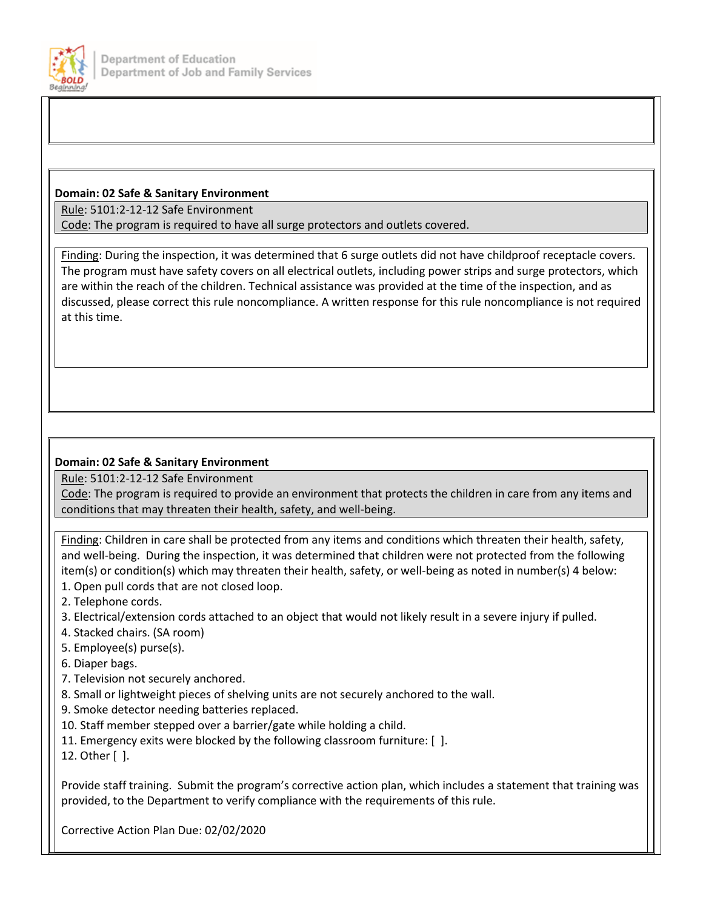

## **Domain: 02 Safe & Sanitary Environment**

Rule: 5101:2-12-12 Safe Environment

Code: The program is required to have all surge protectors and outlets covered.

Finding: During the inspection, it was determined that 6 surge outlets did not have childproof receptacle covers. The program must have safety covers on all electrical outlets, including power strips and surge protectors, which are within the reach of the children. Technical assistance was provided at the time of the inspection, and as discussed, please correct this rule noncompliance. A written response for this rule noncompliance is not required at this time.

## **Domain: 02 Safe & Sanitary Environment**

Rule: 5101:2-12-12 Safe Environment

Code: The program is required to provide an environment that protects the children in care from any items and conditions that may threaten their health, safety, and well-being.

Finding: Children in care shall be protected from any items and conditions which threaten their health, safety, and well-being. During the inspection, it was determined that children were not protected from the following item(s) or condition(s) which may threaten their health, safety, or well-being as noted in number(s) 4 below:

- 1. Open pull cords that are not closed loop.
- 2. Telephone cords.
- 3. Electrical/extension cords attached to an object that would not likely result in a severe injury if pulled.
- 4. Stacked chairs. (SA room)
- 5. Employee(s) purse(s).
- 6. Diaper bags.
- 7. Television not securely anchored.
- 8. Small or lightweight pieces of shelving units are not securely anchored to the wall.
- 9. Smoke detector needing batteries replaced.
- 10. Staff member stepped over a barrier/gate while holding a child.
- 11. Emergency exits were blocked by the following classroom furniture: [ ].
- 12. Other [ ].

Provide staff training. Submit the program's corrective action plan, which includes a statement that training was provided, to the Department to verify compliance with the requirements of this rule.

Corrective Action Plan Due: 02/02/2020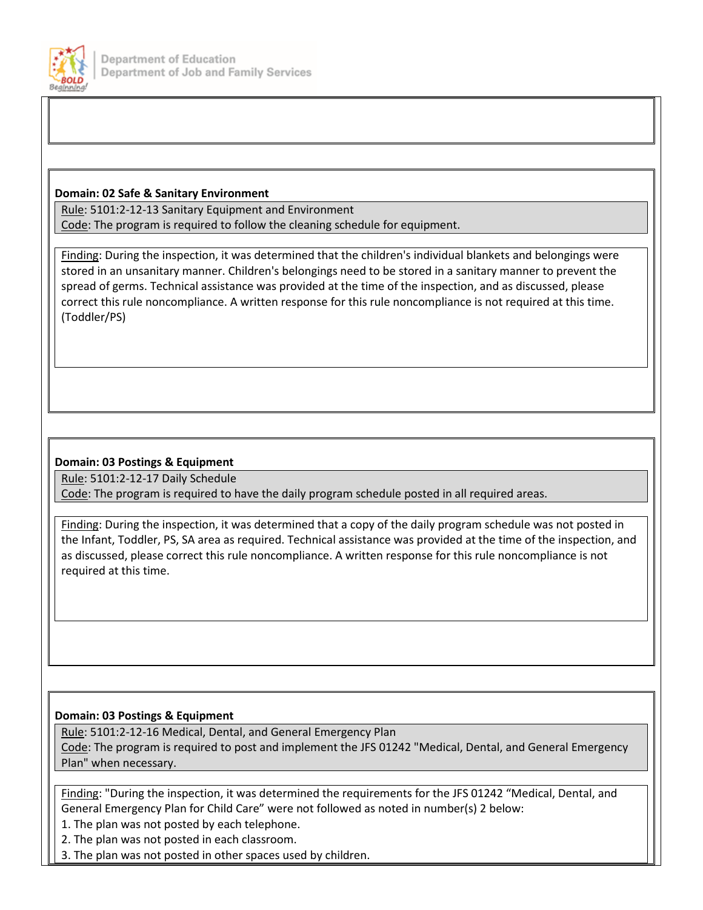

## **Domain: 02 Safe & Sanitary Environment**

Rule: 5101:2-12-13 Sanitary Equipment and Environment Code: The program is required to follow the cleaning schedule for equipment.

Finding: During the inspection, it was determined that the children's individual blankets and belongings were stored in an unsanitary manner. Children's belongings need to be stored in a sanitary manner to prevent the spread of germs. Technical assistance was provided at the time of the inspection, and as discussed, please correct this rule noncompliance. A written response for this rule noncompliance is not required at this time. (Toddler/PS)

## **Domain: 03 Postings & Equipment**

Rule: 5101:2-12-17 Daily Schedule

Code: The program is required to have the daily program schedule posted in all required areas.

Finding: During the inspection, it was determined that a copy of the daily program schedule was not posted in the Infant, Toddler, PS, SA area as required. Technical assistance was provided at the time of the inspection, and as discussed, please correct this rule noncompliance. A written response for this rule noncompliance is not required at this time.

## **Domain: 03 Postings & Equipment**

Rule: 5101:2-12-16 Medical, Dental, and General Emergency Plan Code: The program is required to post and implement the JFS 01242 "Medical, Dental, and General Emergency Plan" when necessary.

Finding: "During the inspection, it was determined the requirements for the JFS 01242 "Medical, Dental, and General Emergency Plan for Child Care" were not followed as noted in number(s) 2 below:

1. The plan was not posted by each telephone.

2. The plan was not posted in each classroom.

3. The plan was not posted in other spaces used by children.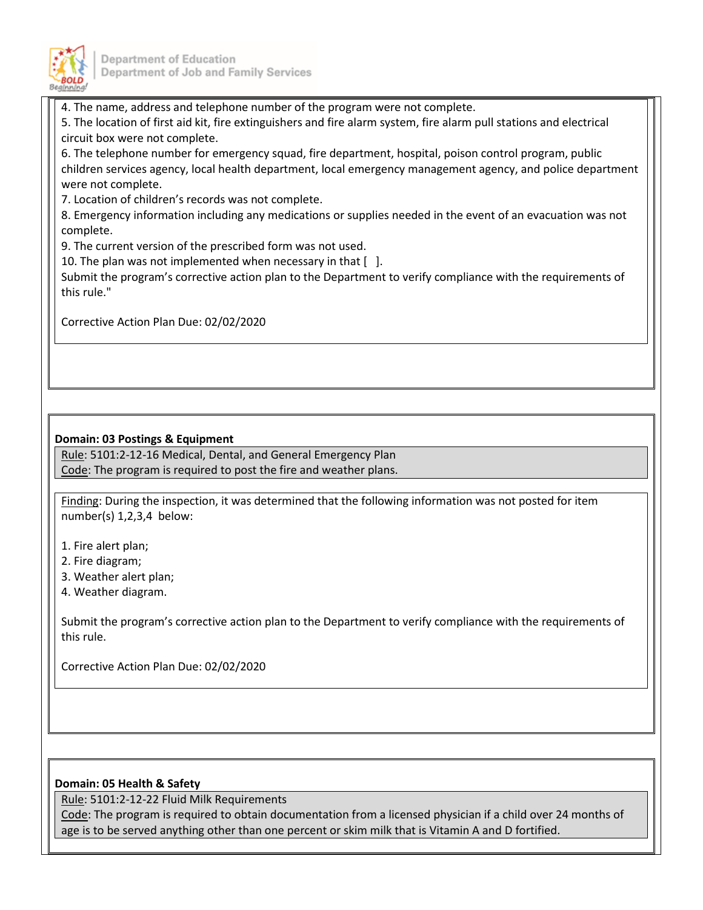

4. The name, address and telephone number of the program were not complete.

5. The location of first aid kit, fire extinguishers and fire alarm system, fire alarm pull stations and electrical circuit box were not complete.

6. The telephone number for emergency squad, fire department, hospital, poison control program, public children services agency, local health department, local emergency management agency, and police department were not complete.

7. Location of children's records was not complete.

8. Emergency information including any medications or supplies needed in the event of an evacuation was not complete.

9. The current version of the prescribed form was not used.

10. The plan was not implemented when necessary in that  $\lceil \ \ \rceil$ .

Submit the program's corrective action plan to the Department to verify compliance with the requirements of this rule."

Corrective Action Plan Due: 02/02/2020

## **Domain: 03 Postings & Equipment**

Rule: 5101:2-12-16 Medical, Dental, and General Emergency Plan Code: The program is required to post the fire and weather plans.

Finding: During the inspection, it was determined that the following information was not posted for item number(s) 1,2,3,4 below:

- 1. Fire alert plan;
- 2. Fire diagram;
- 3. Weather alert plan;
- 4. Weather diagram.

Submit the program's corrective action plan to the Department to verify compliance with the requirements of this rule.

Corrective Action Plan Due: 02/02/2020

#### **Domain: 05 Health & Safety**

Rule: 5101:2-12-22 Fluid Milk Requirements

Code: The program is required to obtain documentation from a licensed physician if a child over 24 months of age is to be served anything other than one percent or skim milk that is Vitamin A and D fortified.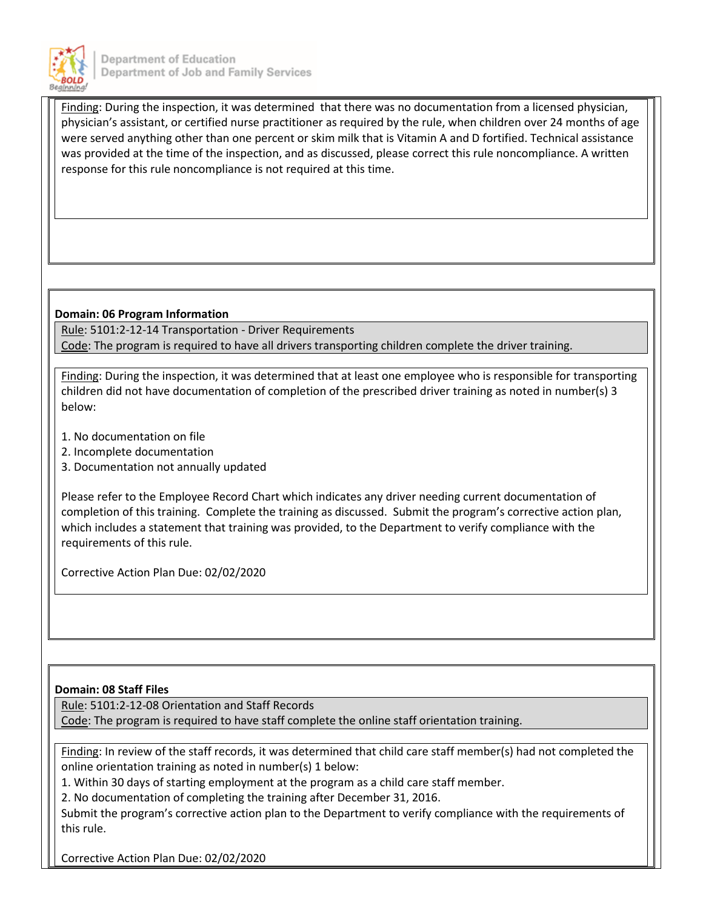

Finding: During the inspection, it was determined that there was no documentation from a licensed physician, physician's assistant, or certified nurse practitioner as required by the rule, when children over 24 months of age were served anything other than one percent or skim milk that is Vitamin A and D fortified. Technical assistance was provided at the time of the inspection, and as discussed, please correct this rule noncompliance. A written response for this rule noncompliance is not required at this time.

## **Domain: 06 Program Information**

Rule: 5101:2-12-14 Transportation - Driver Requirements Code: The program is required to have all drivers transporting children complete the driver training.

Finding: During the inspection, it was determined that at least one employee who is responsible for transporting children did not have documentation of completion of the prescribed driver training as noted in number(s) 3 below:

- 1. No documentation on file
- 2. Incomplete documentation
- 3. Documentation not annually updated

Please refer to the Employee Record Chart which indicates any driver needing current documentation of completion of this training. Complete the training as discussed. Submit the program's corrective action plan, which includes a statement that training was provided, to the Department to verify compliance with the requirements of this rule.

Corrective Action Plan Due: 02/02/2020

#### **Domain: 08 Staff Files**

Rule: 5101:2-12-08 Orientation and Staff Records

Code: The program is required to have staff complete the online staff orientation training.

Finding: In review of the staff records, it was determined that child care staff member(s) had not completed the online orientation training as noted in number(s) 1 below:

1. Within 30 days of starting employment at the program as a child care staff member.

2. No documentation of completing the training after December 31, 2016.

Submit the program's corrective action plan to the Department to verify compliance with the requirements of this rule.

Corrective Action Plan Due: 02/02/2020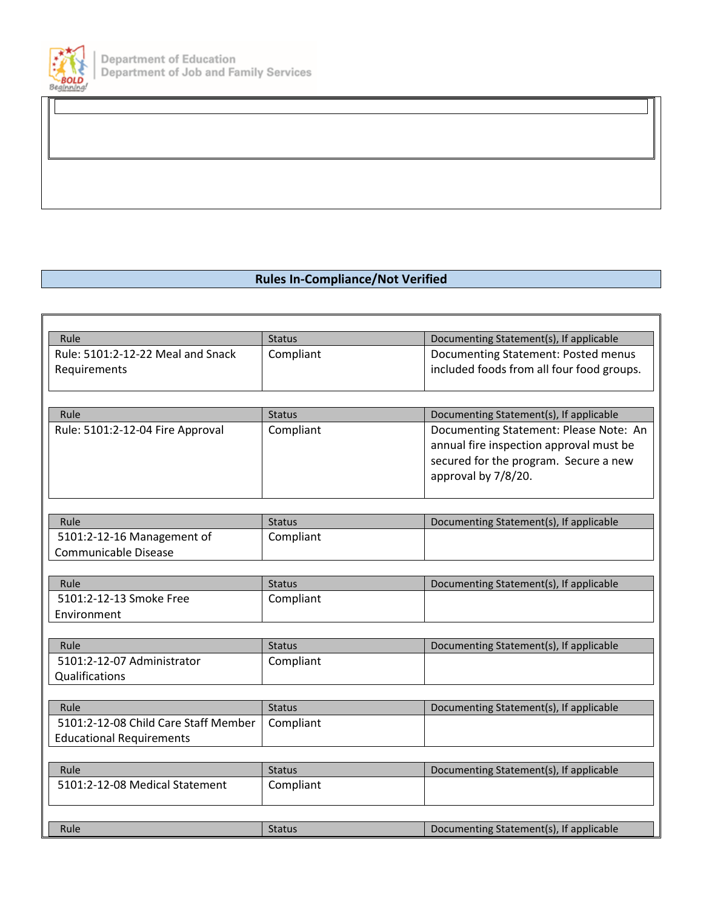

## **Rules In-Compliance/Not Verified**

| Rule                                 | <b>Status</b> | Documenting Statement(s), If applicable   |
|--------------------------------------|---------------|-------------------------------------------|
| Rule: 5101:2-12-22 Meal and Snack    | Compliant     | Documenting Statement: Posted menus       |
| Requirements                         |               | included foods from all four food groups. |
|                                      |               |                                           |
| Rule                                 | <b>Status</b> | Documenting Statement(s), If applicable   |
| Rule: 5101:2-12-04 Fire Approval     | Compliant     | Documenting Statement: Please Note: An    |
|                                      |               |                                           |
|                                      |               | annual fire inspection approval must be   |
|                                      |               | secured for the program. Secure a new     |
|                                      |               | approval by 7/8/20.                       |
|                                      |               |                                           |
| Rule                                 | <b>Status</b> | Documenting Statement(s), If applicable   |
| 5101:2-12-16 Management of           | Compliant     |                                           |
| Communicable Disease                 |               |                                           |
|                                      |               |                                           |
| Rule                                 | <b>Status</b> | Documenting Statement(s), If applicable   |
| 5101:2-12-13 Smoke Free              | Compliant     |                                           |
| Environment                          |               |                                           |
|                                      |               |                                           |
| Rule                                 | <b>Status</b> | Documenting Statement(s), If applicable   |
| 5101:2-12-07 Administrator           | Compliant     |                                           |
| Qualifications                       |               |                                           |
|                                      |               |                                           |
| Rule                                 | <b>Status</b> | Documenting Statement(s), If applicable   |
| 5101:2-12-08 Child Care Staff Member | Compliant     |                                           |
| <b>Educational Requirements</b>      |               |                                           |
|                                      |               |                                           |
| Rule                                 | <b>Status</b> | Documenting Statement(s), If applicable   |
| 5101:2-12-08 Medical Statement       | Compliant     |                                           |
|                                      |               |                                           |
|                                      |               |                                           |
| Rule                                 | <b>Status</b> | Documenting Statement(s), If applicable   |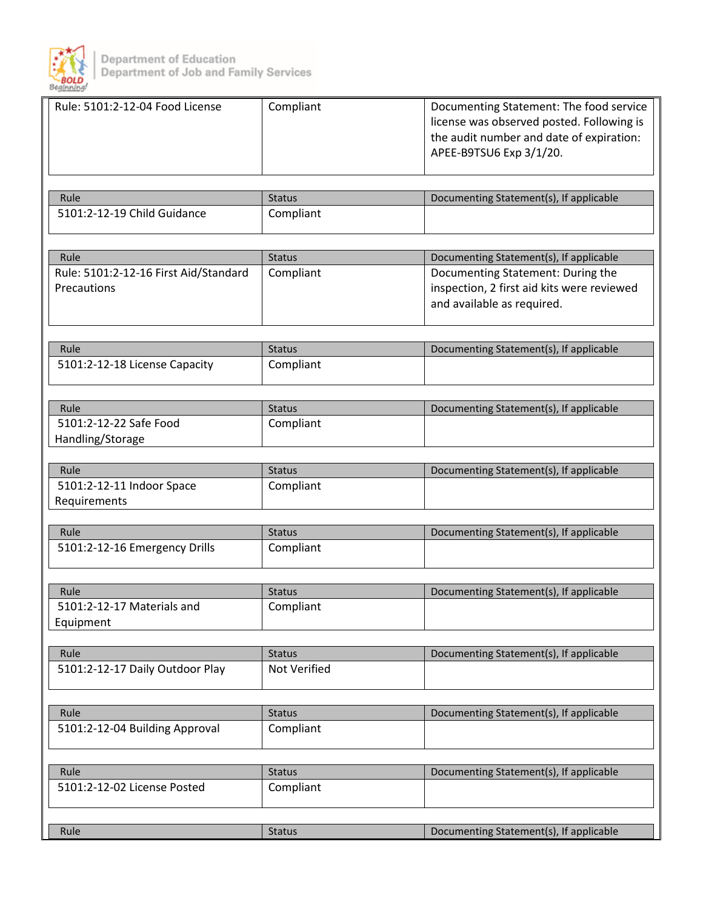

| Rule: 5101:2-12-04 Food License       | Compliant     | Documenting Statement: The food service<br>license was observed posted. Following is<br>the audit number and date of expiration:<br>APEE-B9TSU6 Exp 3/1/20. |
|---------------------------------------|---------------|-------------------------------------------------------------------------------------------------------------------------------------------------------------|
| Rule                                  | <b>Status</b> | Documenting Statement(s), If applicable                                                                                                                     |
| 5101:2-12-19 Child Guidance           | Compliant     |                                                                                                                                                             |
|                                       |               |                                                                                                                                                             |
|                                       |               |                                                                                                                                                             |
| Rule                                  | <b>Status</b> | Documenting Statement(s), If applicable                                                                                                                     |
| Rule: 5101:2-12-16 First Aid/Standard | Compliant     | Documenting Statement: During the                                                                                                                           |
| Precautions                           |               | inspection, 2 first aid kits were reviewed                                                                                                                  |
|                                       |               | and available as required.                                                                                                                                  |
|                                       |               |                                                                                                                                                             |
|                                       |               |                                                                                                                                                             |
| Rule                                  | <b>Status</b> | Documenting Statement(s), If applicable                                                                                                                     |
| 5101:2-12-18 License Capacity         | Compliant     |                                                                                                                                                             |
|                                       |               |                                                                                                                                                             |
| Rule                                  | <b>Status</b> | Documenting Statement(s), If applicable                                                                                                                     |
| 5101:2-12-22 Safe Food                | Compliant     |                                                                                                                                                             |
| Handling/Storage                      |               |                                                                                                                                                             |
|                                       |               |                                                                                                                                                             |
| Rule                                  | <b>Status</b> | Documenting Statement(s), If applicable                                                                                                                     |
| 5101:2-12-11 Indoor Space             | Compliant     |                                                                                                                                                             |
| Requirements                          |               |                                                                                                                                                             |
|                                       |               |                                                                                                                                                             |
| Rule                                  | <b>Status</b> | Documenting Statement(s), If applicable                                                                                                                     |
| 5101:2-12-16 Emergency Drills         | Compliant     |                                                                                                                                                             |
|                                       |               |                                                                                                                                                             |
| Rule                                  | <b>Status</b> | Documenting Statement(s), If applicable                                                                                                                     |
| 5101:2-12-17 Materials and            | Compliant     |                                                                                                                                                             |
| Equipment                             |               |                                                                                                                                                             |
|                                       |               |                                                                                                                                                             |
| Rule                                  | <b>Status</b> | Documenting Statement(s), If applicable                                                                                                                     |
| 5101:2-12-17 Daily Outdoor Play       | Not Verified  |                                                                                                                                                             |
|                                       |               |                                                                                                                                                             |
|                                       |               |                                                                                                                                                             |
| Rule                                  | <b>Status</b> | Documenting Statement(s), If applicable                                                                                                                     |
| 5101:2-12-04 Building Approval        | Compliant     |                                                                                                                                                             |
|                                       |               |                                                                                                                                                             |
| Rule                                  | <b>Status</b> | Documenting Statement(s), If applicable                                                                                                                     |
| 5101:2-12-02 License Posted           | Compliant     |                                                                                                                                                             |
|                                       |               |                                                                                                                                                             |
|                                       |               |                                                                                                                                                             |
| Rule                                  | <b>Status</b> | Documenting Statement(s), If applicable                                                                                                                     |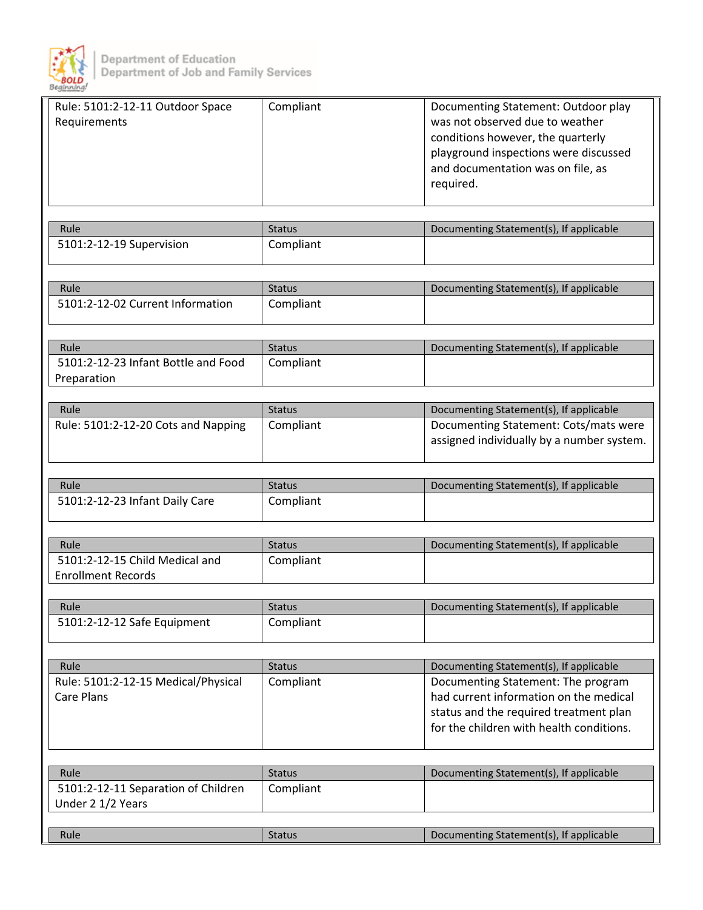

| Rule: 5101:2-12-11 Outdoor Space    | Compliant                  | Documenting Statement: Outdoor play                                                |
|-------------------------------------|----------------------------|------------------------------------------------------------------------------------|
| Requirements                        |                            | was not observed due to weather                                                    |
|                                     |                            | conditions however, the quarterly                                                  |
|                                     |                            | playground inspections were discussed                                              |
|                                     |                            | and documentation was on file, as                                                  |
|                                     |                            | required.                                                                          |
|                                     |                            |                                                                                    |
|                                     |                            |                                                                                    |
| Rule                                | <b>Status</b>              | Documenting Statement(s), If applicable                                            |
| 5101:2-12-19 Supervision            | Compliant                  |                                                                                    |
|                                     |                            |                                                                                    |
| Rule                                | <b>Status</b>              | Documenting Statement(s), If applicable                                            |
| 5101:2-12-02 Current Information    | Compliant                  |                                                                                    |
|                                     |                            |                                                                                    |
|                                     |                            |                                                                                    |
| Rule                                | <b>Status</b>              | Documenting Statement(s), If applicable                                            |
| 5101:2-12-23 Infant Bottle and Food | Compliant                  |                                                                                    |
| Preparation                         |                            |                                                                                    |
|                                     |                            |                                                                                    |
| Rule                                | <b>Status</b>              | Documenting Statement(s), If applicable                                            |
| Rule: 5101:2-12-20 Cots and Napping | Compliant                  | Documenting Statement: Cots/mats were<br>assigned individually by a number system. |
|                                     |                            |                                                                                    |
|                                     |                            |                                                                                    |
| Rule                                | <b>Status</b>              | Documenting Statement(s), If applicable                                            |
| 5101:2-12-23 Infant Daily Care      | Compliant                  |                                                                                    |
|                                     |                            |                                                                                    |
|                                     |                            |                                                                                    |
| Rule                                | <b>Status</b>              | Documenting Statement(s), If applicable                                            |
| 5101:2-12-15 Child Medical and      | Compliant                  |                                                                                    |
| <b>Enrollment Records</b>           |                            |                                                                                    |
| Rule                                | <b>Status</b>              | Documenting Statement(s), If applicable                                            |
| 5101:2-12-12 Safe Equipment         | Compliant                  |                                                                                    |
|                                     |                            |                                                                                    |
|                                     |                            |                                                                                    |
| Rule                                | <b>Status</b>              | Documenting Statement(s), If applicable                                            |
| Rule: 5101:2-12-15 Medical/Physical | Compliant                  | Documenting Statement: The program                                                 |
| <b>Care Plans</b>                   |                            | had current information on the medical                                             |
|                                     |                            | status and the required treatment plan                                             |
|                                     |                            | for the children with health conditions.                                           |
|                                     |                            |                                                                                    |
|                                     |                            |                                                                                    |
| Rule                                | <b>Status</b><br>Compliant | Documenting Statement(s), If applicable                                            |
| 5101:2-12-11 Separation of Children |                            |                                                                                    |
|                                     |                            |                                                                                    |
| Under 2 1/2 Years                   |                            |                                                                                    |
| Rule                                | <b>Status</b>              | Documenting Statement(s), If applicable                                            |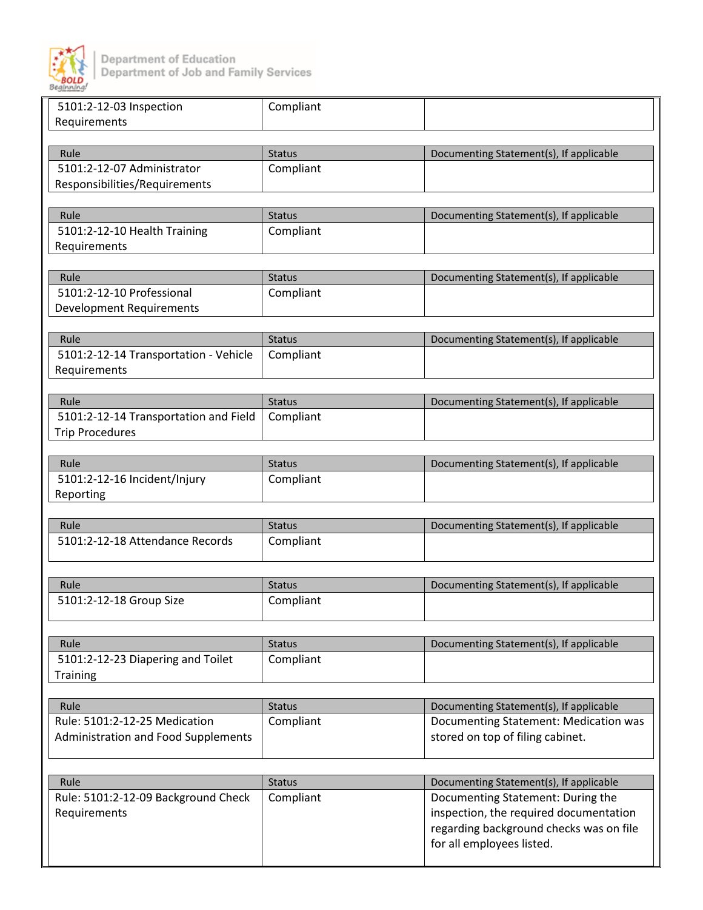

| 5101:2-12-03 Inspection                 | Compliant     |                                         |
|-----------------------------------------|---------------|-----------------------------------------|
| Requirements                            |               |                                         |
|                                         |               |                                         |
| Rule                                    | <b>Status</b> | Documenting Statement(s), If applicable |
| 5101:2-12-07 Administrator              | Compliant     |                                         |
| Responsibilities/Requirements           |               |                                         |
|                                         |               |                                         |
| Rule                                    | <b>Status</b> | Documenting Statement(s), If applicable |
| 5101:2-12-10 Health Training            | Compliant     |                                         |
| Requirements                            |               |                                         |
|                                         |               |                                         |
| Rule                                    | <b>Status</b> | Documenting Statement(s), If applicable |
| 5101:2-12-10 Professional               | Compliant     |                                         |
| <b>Development Requirements</b>         |               |                                         |
|                                         |               |                                         |
| Rule                                    | <b>Status</b> | Documenting Statement(s), If applicable |
| 5101:2-12-14 Transportation - Vehicle   | Compliant     |                                         |
| Requirements                            |               |                                         |
|                                         |               |                                         |
| Rule                                    | <b>Status</b> | Documenting Statement(s), If applicable |
| 5101:2-12-14 Transportation and Field   | Compliant     |                                         |
| <b>Trip Procedures</b>                  |               |                                         |
|                                         |               |                                         |
| Rule                                    | <b>Status</b> | Documenting Statement(s), If applicable |
| 5101:2-12-16 Incident/Injury            | Compliant     |                                         |
| Reporting                               |               |                                         |
|                                         |               |                                         |
| Rule<br>5101:2-12-18 Attendance Records | <b>Status</b> | Documenting Statement(s), If applicable |
|                                         | Compliant     |                                         |
|                                         |               |                                         |
| Rule                                    | <b>Status</b> | Documenting Statement(s), If applicable |
| 5101:2-12-18 Group Size                 | Compliant     |                                         |
|                                         |               |                                         |
|                                         |               |                                         |
| Rule                                    | <b>Status</b> | Documenting Statement(s), If applicable |
| 5101:2-12-23 Diapering and Toilet       | Compliant     |                                         |
| Training                                |               |                                         |
|                                         |               |                                         |
| Rule                                    | <b>Status</b> | Documenting Statement(s), If applicable |
| Rule: 5101:2-12-25 Medication           | Compliant     | Documenting Statement: Medication was   |
| Administration and Food Supplements     |               | stored on top of filing cabinet.        |
|                                         |               |                                         |
|                                         |               |                                         |
| Rule                                    | <b>Status</b> | Documenting Statement(s), If applicable |
| Rule: 5101:2-12-09 Background Check     | Compliant     | Documenting Statement: During the       |
| Requirements                            |               | inspection, the required documentation  |
|                                         |               | regarding background checks was on file |
|                                         |               | for all employees listed.               |
|                                         |               |                                         |